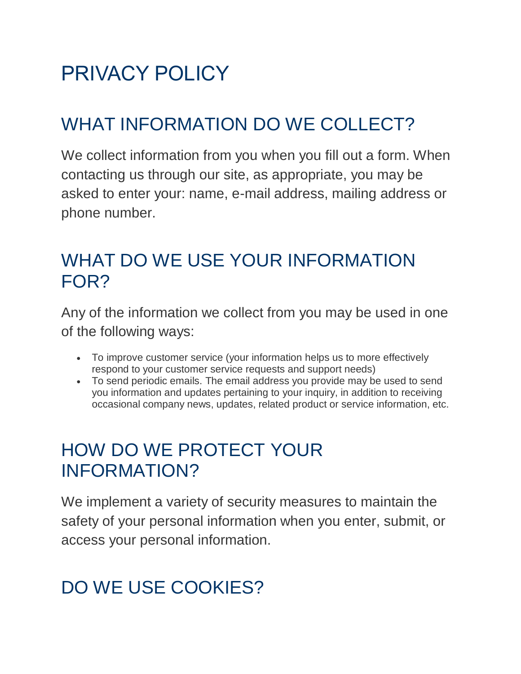# PRIVACY POLICY

# WHAT INFORMATION DO WE COLLECT?

We collect information from you when you fill out a form. When contacting us through our site, as appropriate, you may be asked to enter your: name, e-mail address, mailing address or phone number.

### WHAT DO WE USE YOUR INFORMATION FOR?

Any of the information we collect from you may be used in one of the following ways:

- To improve customer service (your information helps us to more effectively respond to your customer service requests and support needs)
- To send periodic emails. The email address you provide may be used to send you information and updates pertaining to your inquiry, in addition to receiving occasional company news, updates, related product or service information, etc.

### HOW DO WE PROTECT YOUR INFORMATION?

We implement a variety of security measures to maintain the safety of your personal information when you enter, submit, or access your personal information.

# DO WE USE COOKIES?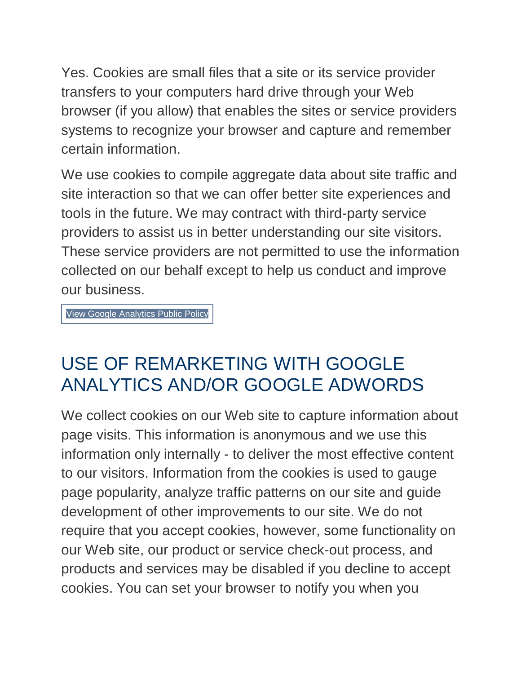Yes. Cookies are small files that a site or its service provider transfers to your computers hard drive through your Web browser (if you allow) that enables the sites or service providers systems to recognize your browser and capture and remember certain information.

We use cookies to compile aggregate data about site traffic and site interaction so that we can offer better site experiences and tools in the future. We may contract with third-party service providers to assist us in better understanding our site visitors. These service providers are not permitted to use the information collected on our behalf except to help us conduct and improve our business.

View Google [Analytics](http://www.google.com/analytics/learn/privacy.html) Public Policy

### USE OF REMARKETING WITH GOOGLE ANALYTICS AND/OR GOOGLE ADWORDS

We collect cookies on our Web site to capture information about page visits. This information is anonymous and we use this information only internally - to deliver the most effective content to our visitors. Information from the cookies is used to gauge page popularity, analyze traffic patterns on our site and guide development of other improvements to our site. We do not require that you accept cookies, however, some functionality on our Web site, our product or service check-out process, and products and services may be disabled if you decline to accept cookies. You can set your browser to notify you when you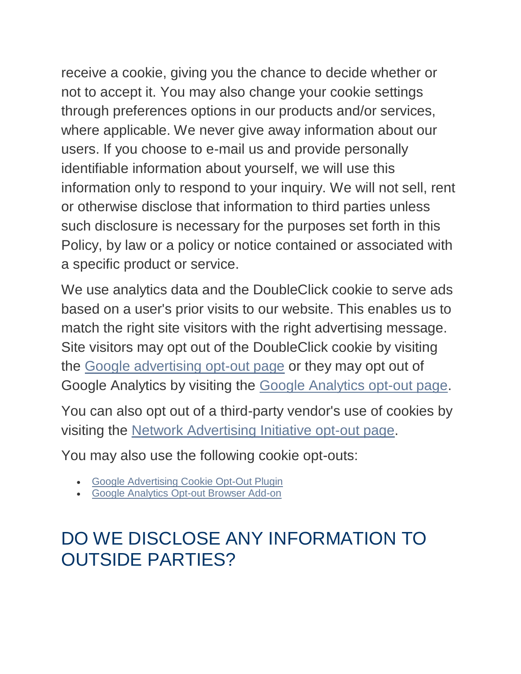receive a cookie, giving you the chance to decide whether or not to accept it. You may also change your cookie settings through preferences options in our products and/or services, where applicable. We never give away information about our users. If you choose to e-mail us and provide personally identifiable information about yourself, we will use this information only to respond to your inquiry. We will not sell, rent or otherwise disclose that information to third parties unless such disclosure is necessary for the purposes set forth in this Policy, by law or a policy or notice contained or associated with a specific product or service.

We use analytics data and the DoubleClick cookie to serve ads based on a user's prior visits to our website. This enables us to match the right site visitors with the right advertising message. Site visitors may opt out of the DoubleClick cookie by visiting the [Google advertising opt-out page](https://www.google.com/settings/ads/onweb) or they may opt out of Google Analytics by visiting the [Google Analytics opt-out page.](https://tools.google.com/dlpage/gaoptout)

You can also opt out of a third-party vendor's use of cookies by visiting the [Network Advertising Initiative opt-out page.](http://www.networkadvertising.org/managing/opt_out.asp)

You may also use the following cookie opt-outs:

- [Google Advertising Cookie Opt-Out Plugin](http://www.google.com/ads/preferences/plugin/)
- [Google Analytics Opt-out Browser Add-on](https://tools.google.com/dlpage/gaoptout)

### DO WE DISCLOSE ANY INFORMATION TO OUTSIDE PARTIES?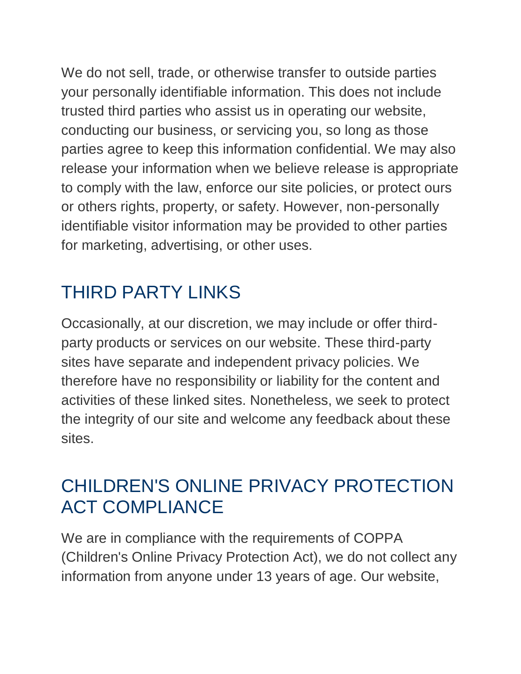We do not sell, trade, or otherwise transfer to outside parties your personally identifiable information. This does not include trusted third parties who assist us in operating our website, conducting our business, or servicing you, so long as those parties agree to keep this information confidential. We may also release your information when we believe release is appropriate to comply with the law, enforce our site policies, or protect ours or others rights, property, or safety. However, non-personally identifiable visitor information may be provided to other parties for marketing, advertising, or other uses.

# THIRD PARTY LINKS

Occasionally, at our discretion, we may include or offer thirdparty products or services on our website. These third-party sites have separate and independent privacy policies. We therefore have no responsibility or liability for the content and activities of these linked sites. Nonetheless, we seek to protect the integrity of our site and welcome any feedback about these sites.

### CHILDREN'S ONLINE PRIVACY PROTECTION ACT COMPLIANCE

We are in compliance with the requirements of COPPA (Children's Online Privacy Protection Act), we do not collect any information from anyone under 13 years of age. Our website,